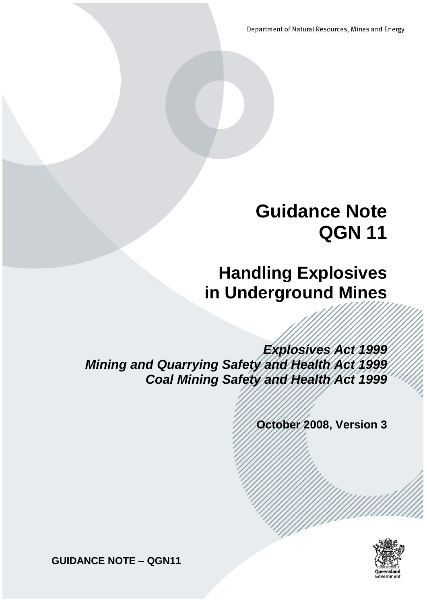Department of Natural Resources, Mines and Energy

# **Guidance Note QGN 11**

# **Handling Explosives in Underground Mines**

*Explosives Act 1999 Mining and Quarrying Safety and Health Act 1999 Coal Mining Safety and Health Act 1999*

**October 2008, Version 3**



**GUIDANCE NOTE – QGN11**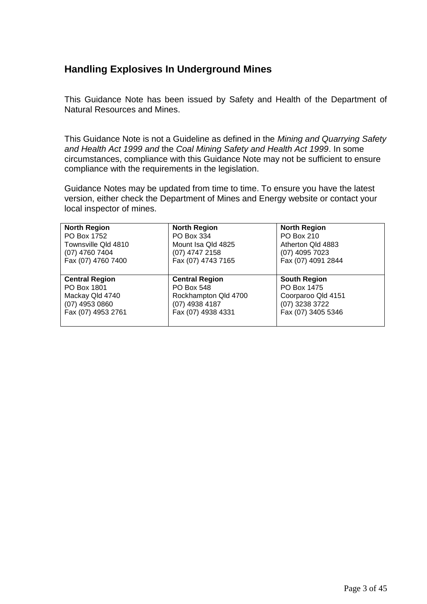# **Handling Explosives In Underground Mines**

This Guidance Note has been issued by Safety and Health of the Department of Natural Resources and Mines.

This Guidance Note is not a Guideline as defined in the *Mining and Quarrying Safety and Health Act 1999 and* the *Coal Mining Safety and Health Act 1999*. In some circumstances, compliance with this Guidance Note may not be sufficient to ensure compliance with the requirements in the legislation.

Guidance Notes may be updated from time to time. To ensure you have the latest version, either check the Department of Mines and Energy website or contact your local inspector of mines.

| <b>North Region</b>   | <b>North Region</b>   | <b>North Region</b> |
|-----------------------|-----------------------|---------------------|
| PO Box 1752           | PO Box 334            | PO Box 210          |
| Townsville Qld 4810   | Mount Isa Qld 4825    | Atherton Qld 4883   |
| (07) 4760 7404        | (07) 4747 2158        | (07) 4095 7023      |
| Fax (07) 4760 7400    | Fax (07) 4743 7165    | Fax (07) 4091 2844  |
|                       |                       |                     |
| <b>Central Region</b> | <b>Central Region</b> | <b>South Region</b> |
| PO Box 1801           | PO Box 548            | PO Box 1475         |
| Mackay Qld 4740       | Rockhampton Qld 4700  | Coorparoo Qld 4151  |
| (07) 4953 0860        | $(07)$ 4938 4187      | (07) 3238 3722      |
| Fax (07) 4953 2761    | Fax (07) 4938 4331    | Fax (07) 3405 5346  |
|                       |                       |                     |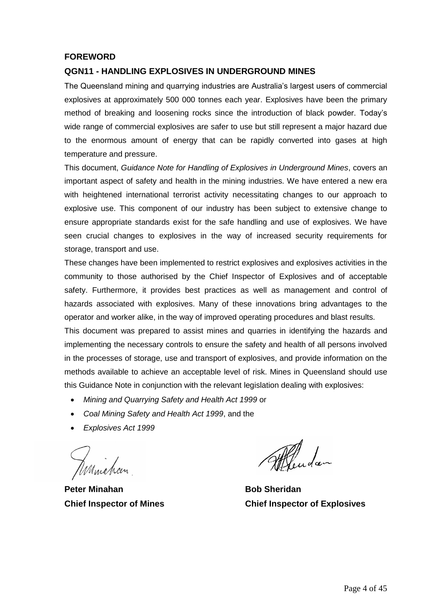#### **FOREWORD**

#### **QGN11 - HANDLING EXPLOSIVES IN UNDERGROUND MINES**

The Queensland mining and quarrying industries are Australia's largest users of commercial explosives at approximately 500 000 tonnes each year. Explosives have been the primary method of breaking and loosening rocks since the introduction of black powder. Today's wide range of commercial explosives are safer to use but still represent a major hazard due to the enormous amount of energy that can be rapidly converted into gases at high temperature and pressure.

This document, *Guidance Note for Handling of Explosives in Underground Mines*, covers an important aspect of safety and health in the mining industries. We have entered a new era with heightened international terrorist activity necessitating changes to our approach to explosive use. This component of our industry has been subject to extensive change to ensure appropriate standards exist for the safe handling and use of explosives. We have seen crucial changes to explosives in the way of increased security requirements for storage, transport and use.

These changes have been implemented to restrict explosives and explosives activities in the community to those authorised by the Chief Inspector of Explosives and of acceptable safety. Furthermore, it provides best practices as well as management and control of hazards associated with explosives. Many of these innovations bring advantages to the operator and worker alike, in the way of improved operating procedures and blast results.

This document was prepared to assist mines and quarries in identifying the hazards and implementing the necessary controls to ensure the safety and health of all persons involved in the processes of storage, use and transport of explosives, and provide information on the methods available to achieve an acceptable level of risk. Mines in Queensland should use this Guidance Note in conjunction with the relevant legislation dealing with explosives:

- *Mining and Quarrying Safety and Health Act 1999* or
- *Coal Mining Safety and Health Act 1999*, and the
- *Explosives Act 1999*

Kamichan

**Peter Minahan Bob Sheridan** 

Mandan

**Chief Inspector of Mines Chief Inspector of Explosives**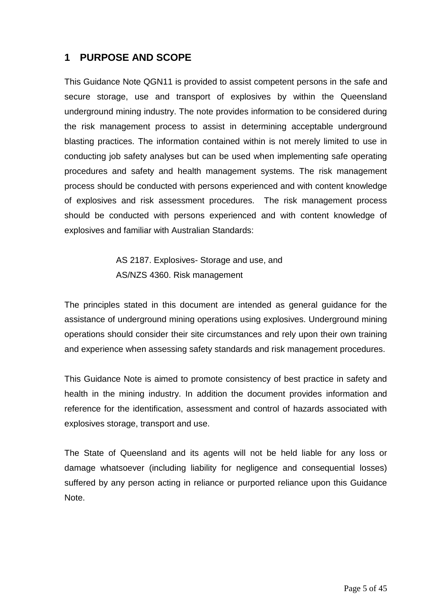# <span id="page-3-0"></span>**1 PURPOSE AND SCOPE**

This Guidance Note QGN11 is provided to assist competent persons in the safe and secure storage, use and transport of explosives by within the Queensland underground mining industry. The note provides information to be considered during the risk management process to assist in determining acceptable underground blasting practices. The information contained within is not merely limited to use in conducting job safety analyses but can be used when implementing safe operating procedures and safety and health management systems. The risk management process should be conducted with persons experienced and with content knowledge of explosives and risk assessment procedures. The risk management process should be conducted with persons experienced and with content knowledge of explosives and familiar with Australian Standards:

> AS 2187. Explosives- Storage and use, and AS/NZS 4360. Risk management

The principles stated in this document are intended as general guidance for the assistance of underground mining operations using explosives. Underground mining operations should consider their site circumstances and rely upon their own training and experience when assessing safety standards and risk management procedures.

This Guidance Note is aimed to promote consistency of best practice in safety and health in the mining industry. In addition the document provides information and reference for the identification, assessment and control of hazards associated with explosives storage, transport and use.

The State of Queensland and its agents will not be held liable for any loss or damage whatsoever (including liability for negligence and consequential losses) suffered by any person acting in reliance or purported reliance upon this Guidance Note.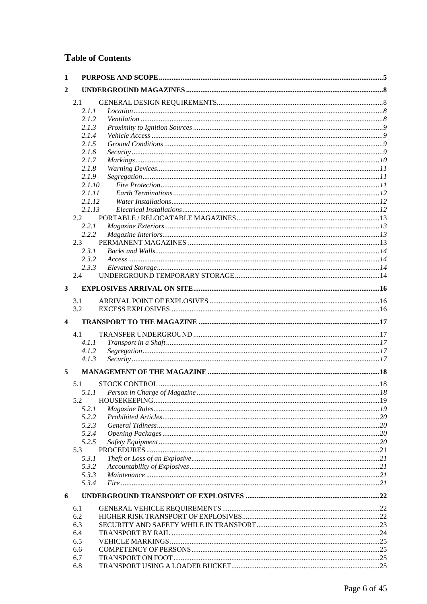# **Table of Contents**

| 1              |                |  |
|----------------|----------------|--|
| $\overline{2}$ |                |  |
|                | 2.1            |  |
|                | 2.1.1          |  |
|                | 2.1.2          |  |
|                | 2.1.3          |  |
|                | 2.1.4          |  |
|                | 2.1.5          |  |
|                | 2.1.6          |  |
|                | 2.1.7          |  |
|                | 2.1.8<br>2.1.9 |  |
|                | 2.1.10         |  |
|                | 2.1.11         |  |
|                | 2.1.12         |  |
|                | 2.1.13         |  |
|                | 2.2            |  |
|                | 2.2.1          |  |
|                | 2.2.2          |  |
|                | 2.3            |  |
|                | 2.3.1<br>2.3.2 |  |
|                | 2.3.3          |  |
|                | 2.4            |  |
| 3              |                |  |
|                |                |  |
|                | 3.1            |  |
|                | 3.2            |  |
| 4              |                |  |
|                | 4.1            |  |
|                | 4.1.1          |  |
|                | 4.1.2          |  |
|                | 4.1.3          |  |
| 5              |                |  |
|                | 5.1            |  |
|                |                |  |
|                | 5.2            |  |
|                | 5.2.1          |  |
|                | 5.2.2          |  |
|                | 5.2.3          |  |
|                | 5.2.4          |  |
|                | 5.2.5          |  |
|                | 5.3<br>5.3.1   |  |
|                | 5.3.2          |  |
|                | 5.3.3          |  |
|                | 5.3.4          |  |
| 6              |                |  |
|                |                |  |
|                | 6.1            |  |
|                | 6.2<br>6.3     |  |
|                | 6.4            |  |
|                | 6.5            |  |
|                | 6.6            |  |
|                | 6.7            |  |
|                | 6.8            |  |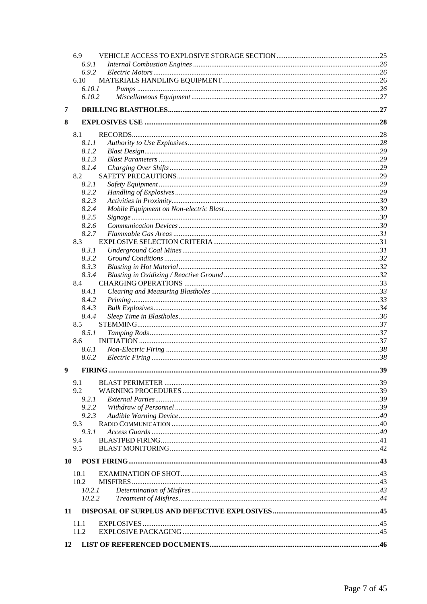|   | 6.9          |  |
|---|--------------|--|
|   | 6.9.1        |  |
|   | 6.9.2        |  |
|   | 6.10         |  |
|   | 6.10.1       |  |
|   | 6.10.2       |  |
| 7 |              |  |
| 8 |              |  |
|   | 8.1          |  |
|   | 8.1.1        |  |
|   | 8.1.2        |  |
|   | 8.1.3        |  |
|   | 8.1.4        |  |
|   | 8.2          |  |
|   | 8.2.1        |  |
|   | 8.2.2        |  |
|   | 8.2.3        |  |
|   | 8.2.4        |  |
|   | 8.2.5        |  |
|   | 8.2.6        |  |
|   | 8.2.7        |  |
|   | 8.3<br>8.3.1 |  |
|   | 8.3.2        |  |
|   | 8.3.3        |  |
|   | 8.3.4        |  |
|   | 8.4          |  |
|   | 8.4.1        |  |
|   | 8.4.2        |  |
|   | 8.4.3        |  |
|   | 8.4.4        |  |
|   | 8.5          |  |
|   | 8.5.1        |  |
|   | 8.6          |  |
|   | 8.6.1        |  |
|   | 8.6.2        |  |
| 9 |              |  |
|   | 9.1          |  |
|   | 9.2          |  |
|   | 9.2.1        |  |
|   | 9.2.2        |  |
|   | 9.2.3        |  |
|   | 9.3          |  |
|   | 9.3.1        |  |
|   | 9.4          |  |
|   | 9.5          |  |
|   | 10           |  |
|   | 10.1         |  |
|   | 10.2         |  |
|   | 10.2.1       |  |
|   | 10.2.2       |  |
|   | 11           |  |
|   |              |  |
|   | 11.1         |  |
|   | 11.2         |  |
|   | 12           |  |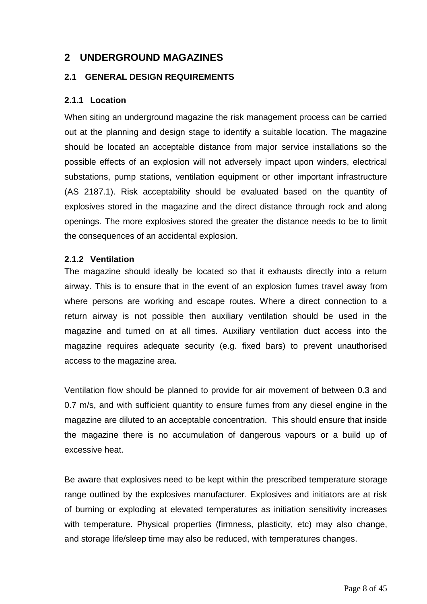# <span id="page-6-0"></span>**2 UNDERGROUND MAGAZINES**

#### <span id="page-6-1"></span>**2.1 GENERAL DESIGN REQUIREMENTS**

## <span id="page-6-2"></span>**2.1.1 Location**

When siting an underground magazine the risk management process can be carried out at the planning and design stage to identify a suitable location. The magazine should be located an acceptable distance from major service installations so the possible effects of an explosion will not adversely impact upon winders, electrical substations, pump stations, ventilation equipment or other important infrastructure (AS 2187.1). Risk acceptability should be evaluated based on the quantity of explosives stored in the magazine and the direct distance through rock and along openings. The more explosives stored the greater the distance needs to be to limit the consequences of an accidental explosion.

#### <span id="page-6-3"></span>**2.1.2 Ventilation**

The magazine should ideally be located so that it exhausts directly into a return airway. This is to ensure that in the event of an explosion fumes travel away from where persons are working and escape routes. Where a direct connection to a return airway is not possible then auxiliary ventilation should be used in the magazine and turned on at all times. Auxiliary ventilation duct access into the magazine requires adequate security (e.g. fixed bars) to prevent unauthorised access to the magazine area.

Ventilation flow should be planned to provide for air movement of between 0.3 and 0.7 m/s, and with sufficient quantity to ensure fumes from any diesel engine in the magazine are diluted to an acceptable concentration. This should ensure that inside the magazine there is no accumulation of dangerous vapours or a build up of excessive heat.

Be aware that explosives need to be kept within the prescribed temperature storage range outlined by the explosives manufacturer. Explosives and initiators are at risk of burning or exploding at elevated temperatures as initiation sensitivity increases with temperature. Physical properties (firmness, plasticity, etc) may also change, and storage life/sleep time may also be reduced, with temperatures changes.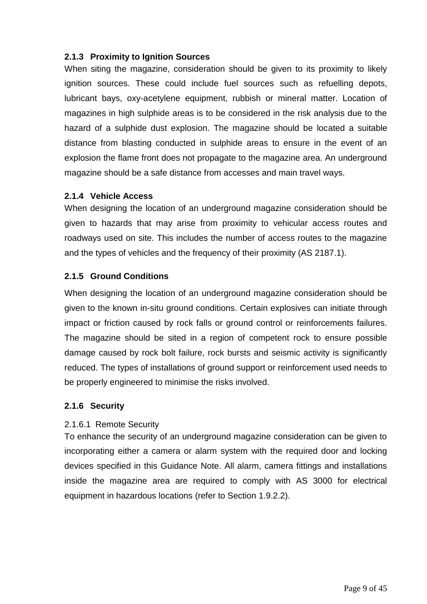# <span id="page-7-0"></span>**2.1.3 Proximity to Ignition Sources**

When siting the magazine, consideration should be given to its proximity to likely ignition sources. These could include fuel sources such as refuelling depots, lubricant bays, oxy-acetylene equipment, rubbish or mineral matter. Location of magazines in high sulphide areas is to be considered in the risk analysis due to the hazard of a sulphide dust explosion. The magazine should be located a suitable distance from blasting conducted in sulphide areas to ensure in the event of an explosion the flame front does not propagate to the magazine area. An underground magazine should be a safe distance from accesses and main travel ways.

#### <span id="page-7-1"></span>**2.1.4 Vehicle Access**

When designing the location of an underground magazine consideration should be given to hazards that may arise from proximity to vehicular access routes and roadways used on site. This includes the number of access routes to the magazine and the types of vehicles and the frequency of their proximity (AS 2187.1).

## <span id="page-7-2"></span>**2.1.5 Ground Conditions**

When designing the location of an underground magazine consideration should be given to the known in-situ ground conditions. Certain explosives can initiate through impact or friction caused by rock falls or ground control or reinforcements failures. The magazine should be sited in a region of competent rock to ensure possible damage caused by rock bolt failure, rock bursts and seismic activity is significantly reduced. The types of installations of ground support or reinforcement used needs to be properly engineered to minimise the risks involved.

#### <span id="page-7-3"></span>**2.1.6 Security**

#### 2.1.6.1 Remote Security

To enhance the security of an underground magazine consideration can be given to incorporating either a camera or alarm system with the required door and locking devices specified in this Guidance Note. All alarm, camera fittings and installations inside the magazine area are required to comply with AS 3000 for electrical equipment in hazardous locations (refer to Section 1.9.2.2).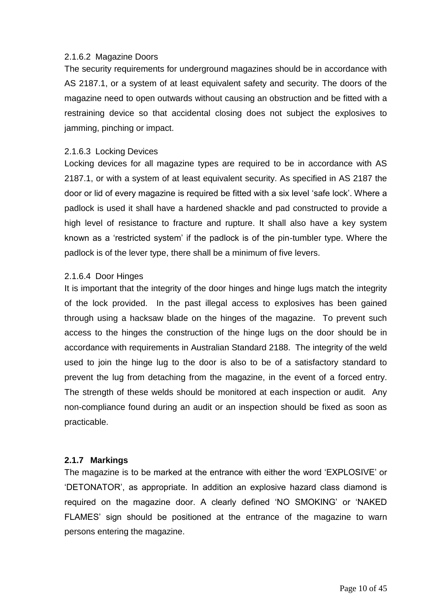#### 2.1.6.2 Magazine Doors

The security requirements for underground magazines should be in accordance with AS 2187.1, or a system of at least equivalent safety and security. The doors of the magazine need to open outwards without causing an obstruction and be fitted with a restraining device so that accidental closing does not subject the explosives to jamming, pinching or impact.

#### 2.1.6.3 Locking Devices

Locking devices for all magazine types are required to be in accordance with AS 2187.1, or with a system of at least equivalent security. As specified in AS 2187 the door or lid of every magazine is required be fitted with a six level 'safe lock'. Where a padlock is used it shall have a hardened shackle and pad constructed to provide a high level of resistance to fracture and rupture. It shall also have a key system known as a 'restricted system' if the padlock is of the pin-tumbler type. Where the padlock is of the lever type, there shall be a minimum of five levers.

#### 2.1.6.4 Door Hinges

It is important that the integrity of the door hinges and hinge lugs match the integrity of the lock provided. In the past illegal access to explosives has been gained through using a hacksaw blade on the hinges of the magazine. To prevent such access to the hinges the construction of the hinge lugs on the door should be in accordance with requirements in Australian Standard 2188. The integrity of the weld used to join the hinge lug to the door is also to be of a satisfactory standard to prevent the lug from detaching from the magazine, in the event of a forced entry. The strength of these welds should be monitored at each inspection or audit. Any non-compliance found during an audit or an inspection should be fixed as soon as practicable.

#### <span id="page-8-0"></span>**2.1.7 Markings**

The magazine is to be marked at the entrance with either the word 'EXPLOSIVE' or 'DETONATOR', as appropriate. In addition an explosive hazard class diamond is required on the magazine door. A clearly defined 'NO SMOKING' or 'NAKED FLAMES' sign should be positioned at the entrance of the magazine to warn persons entering the magazine.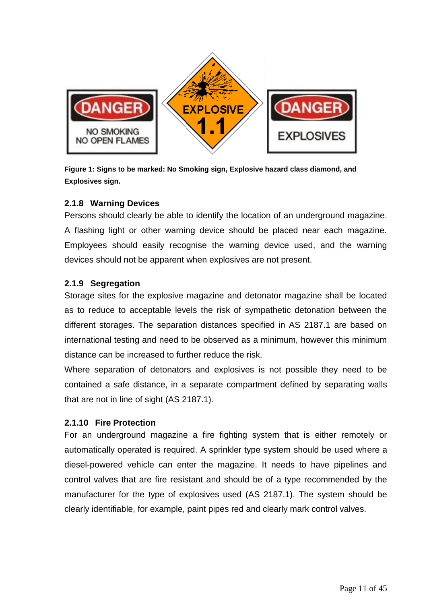

**Figure 1: Signs to be marked: No Smoking sign, Explosive hazard class diamond, and Explosives sign.**

## <span id="page-9-0"></span>**2.1.8 Warning Devices**

Persons should clearly be able to identify the location of an underground magazine. A flashing light or other warning device should be placed near each magazine. Employees should easily recognise the warning device used, and the warning devices should not be apparent when explosives are not present.

# <span id="page-9-1"></span>**2.1.9 Segregation**

Storage sites for the explosive magazine and detonator magazine shall be located as to reduce to acceptable levels the risk of sympathetic detonation between the different storages. The separation distances specified in AS 2187.1 are based on international testing and need to be observed as a minimum, however this minimum distance can be increased to further reduce the risk.

Where separation of detonators and explosives is not possible they need to be contained a safe distance, in a separate compartment defined by separating walls that are not in line of sight (AS 2187.1).

# <span id="page-9-2"></span>**2.1.10 Fire Protection**

For an underground magazine a fire fighting system that is either remotely or automatically operated is required. A sprinkler type system should be used where a diesel-powered vehicle can enter the magazine. It needs to have pipelines and control valves that are fire resistant and should be of a type recommended by the manufacturer for the type of explosives used (AS 2187.1). The system should be clearly identifiable, for example, paint pipes red and clearly mark control valves.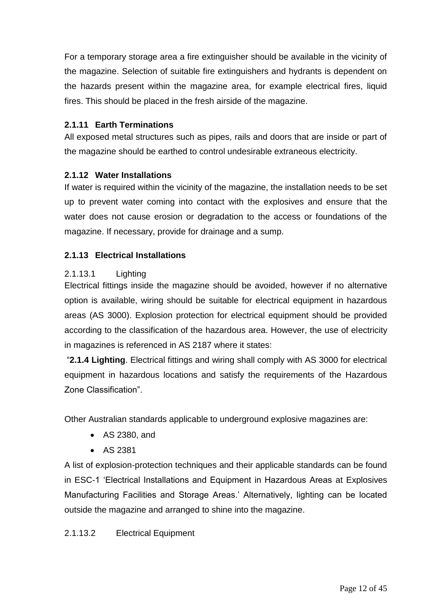For a temporary storage area a fire extinguisher should be available in the vicinity of the magazine. Selection of suitable fire extinguishers and hydrants is dependent on the hazards present within the magazine area, for example electrical fires, liquid fires. This should be placed in the fresh airside of the magazine.

# <span id="page-10-0"></span>**2.1.11 Earth Terminations**

All exposed metal structures such as pipes, rails and doors that are inside or part of the magazine should be earthed to control undesirable extraneous electricity.

# <span id="page-10-1"></span>**2.1.12 Water Installations**

If water is required within the vicinity of the magazine, the installation needs to be set up to prevent water coming into contact with the explosives and ensure that the water does not cause erosion or degradation to the access or foundations of the magazine. If necessary, provide for drainage and a sump.

# <span id="page-10-2"></span>**2.1.13 Electrical Installations**

# 2.1.13.1 Lighting

Electrical fittings inside the magazine should be avoided, however if no alternative option is available, wiring should be suitable for electrical equipment in hazardous areas (AS 3000). Explosion protection for electrical equipment should be provided according to the classification of the hazardous area. However, the use of electricity in magazines is referenced in AS 2187 where it states:

"**2.1.4 Lighting**. Electrical fittings and wiring shall comply with AS 3000 for electrical equipment in hazardous locations and satisfy the requirements of the Hazardous Zone Classification".

Other Australian standards applicable to underground explosive magazines are:

- AS 2380, and
- AS 2381

A list of explosion-protection techniques and their applicable standards can be found in ESC-1 'Electrical Installations and Equipment in Hazardous Areas at Explosives Manufacturing Facilities and Storage Areas.' Alternatively, lighting can be located outside the magazine and arranged to shine into the magazine.

# 2.1.13.2 Electrical Equipment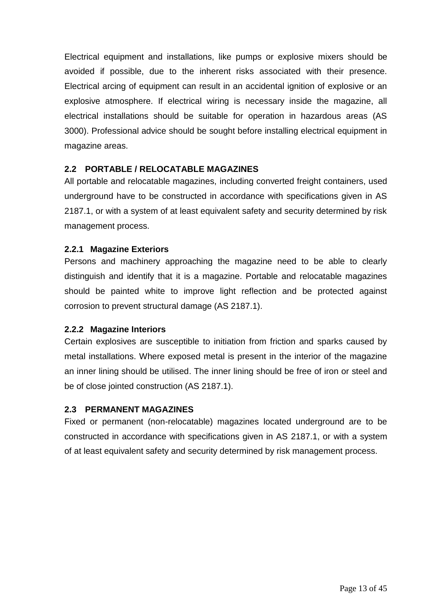Electrical equipment and installations, like pumps or explosive mixers should be avoided if possible, due to the inherent risks associated with their presence. Electrical arcing of equipment can result in an accidental ignition of explosive or an explosive atmosphere. If electrical wiring is necessary inside the magazine, all electrical installations should be suitable for operation in hazardous areas (AS 3000). Professional advice should be sought before installing electrical equipment in magazine areas.

# <span id="page-11-0"></span>**2.2 PORTABLE / RELOCATABLE MAGAZINES**

All portable and relocatable magazines, including converted freight containers, used underground have to be constructed in accordance with specifications given in AS 2187.1, or with a system of at least equivalent safety and security determined by risk management process.

## <span id="page-11-1"></span>**2.2.1 Magazine Exteriors**

Persons and machinery approaching the magazine need to be able to clearly distinguish and identify that it is a magazine. Portable and relocatable magazines should be painted white to improve light reflection and be protected against corrosion to prevent structural damage (AS 2187.1).

#### <span id="page-11-2"></span>**2.2.2 Magazine Interiors**

Certain explosives are susceptible to initiation from friction and sparks caused by metal installations. Where exposed metal is present in the interior of the magazine an inner lining should be utilised. The inner lining should be free of iron or steel and be of close jointed construction (AS 2187.1).

#### <span id="page-11-3"></span>**2.3 PERMANENT MAGAZINES**

Fixed or permanent (non-relocatable) magazines located underground are to be constructed in accordance with specifications given in AS 2187.1, or with a system of at least equivalent safety and security determined by risk management process.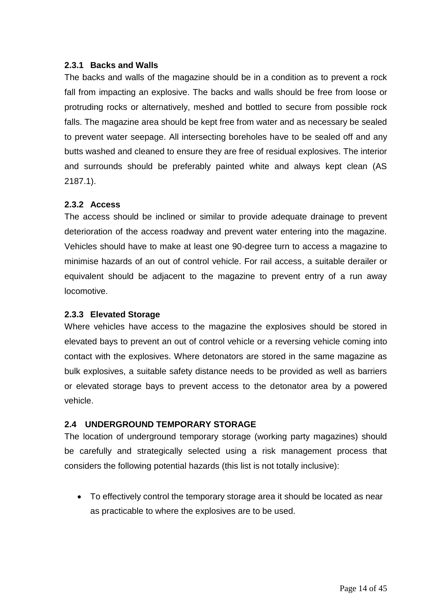## <span id="page-12-0"></span>**2.3.1 Backs and Walls**

The backs and walls of the magazine should be in a condition as to prevent a rock fall from impacting an explosive. The backs and walls should be free from loose or protruding rocks or alternatively, meshed and bottled to secure from possible rock falls. The magazine area should be kept free from water and as necessary be sealed to prevent water seepage. All intersecting boreholes have to be sealed off and any butts washed and cleaned to ensure they are free of residual explosives. The interior and surrounds should be preferably painted white and always kept clean (AS 2187.1).

## <span id="page-12-1"></span>**2.3.2 Access**

The access should be inclined or similar to provide adequate drainage to prevent deterioration of the access roadway and prevent water entering into the magazine. Vehicles should have to make at least one 90-degree turn to access a magazine to minimise hazards of an out of control vehicle. For rail access, a suitable derailer or equivalent should be adjacent to the magazine to prevent entry of a run away locomotive.

#### <span id="page-12-2"></span>**2.3.3 Elevated Storage**

Where vehicles have access to the magazine the explosives should be stored in elevated bays to prevent an out of control vehicle or a reversing vehicle coming into contact with the explosives. Where detonators are stored in the same magazine as bulk explosives, a suitable safety distance needs to be provided as well as barriers or elevated storage bays to prevent access to the detonator area by a powered vehicle.

# <span id="page-12-3"></span>**2.4 UNDERGROUND TEMPORARY STORAGE**

The location of underground temporary storage (working party magazines) should be carefully and strategically selected using a risk management process that considers the following potential hazards (this list is not totally inclusive):

 To effectively control the temporary storage area it should be located as near as practicable to where the explosives are to be used.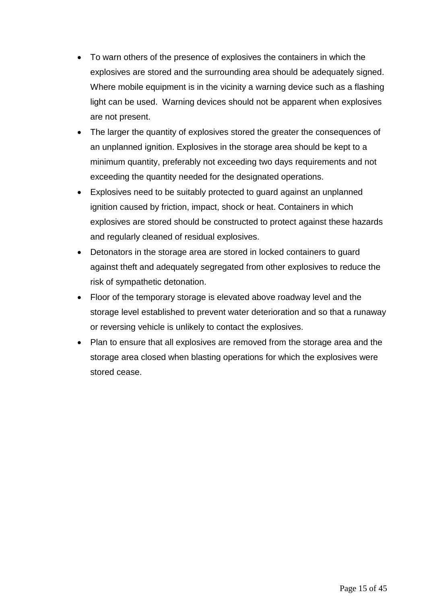- To warn others of the presence of explosives the containers in which the explosives are stored and the surrounding area should be adequately signed. Where mobile equipment is in the vicinity a warning device such as a flashing light can be used. Warning devices should not be apparent when explosives are not present.
- The larger the quantity of explosives stored the greater the consequences of an unplanned ignition. Explosives in the storage area should be kept to a minimum quantity, preferably not exceeding two days requirements and not exceeding the quantity needed for the designated operations.
- Explosives need to be suitably protected to guard against an unplanned ignition caused by friction, impact, shock or heat. Containers in which explosives are stored should be constructed to protect against these hazards and regularly cleaned of residual explosives.
- Detonators in the storage area are stored in locked containers to guard against theft and adequately segregated from other explosives to reduce the risk of sympathetic detonation.
- Floor of the temporary storage is elevated above roadway level and the storage level established to prevent water deterioration and so that a runaway or reversing vehicle is unlikely to contact the explosives.
- Plan to ensure that all explosives are removed from the storage area and the storage area closed when blasting operations for which the explosives were stored cease.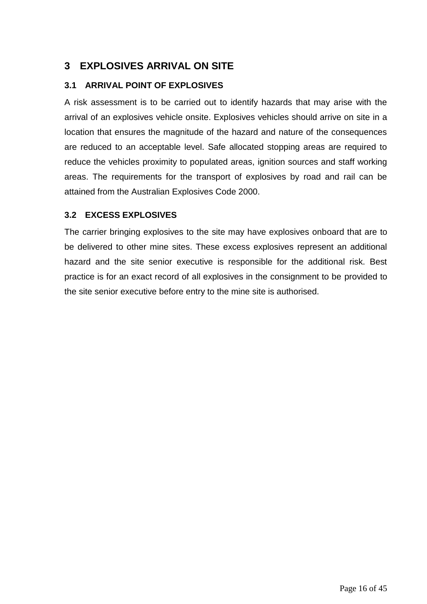# <span id="page-14-0"></span>**3 EXPLOSIVES ARRIVAL ON SITE**

# <span id="page-14-1"></span>**3.1 ARRIVAL POINT OF EXPLOSIVES**

A risk assessment is to be carried out to identify hazards that may arise with the arrival of an explosives vehicle onsite. Explosives vehicles should arrive on site in a location that ensures the magnitude of the hazard and nature of the consequences are reduced to an acceptable level. Safe allocated stopping areas are required to reduce the vehicles proximity to populated areas, ignition sources and staff working areas. The requirements for the transport of explosives by road and rail can be attained from the Australian Explosives Code 2000.

# <span id="page-14-2"></span>**3.2 EXCESS EXPLOSIVES**

The carrier bringing explosives to the site may have explosives onboard that are to be delivered to other mine sites. These excess explosives represent an additional hazard and the site senior executive is responsible for the additional risk. Best practice is for an exact record of all explosives in the consignment to be provided to the site senior executive before entry to the mine site is authorised.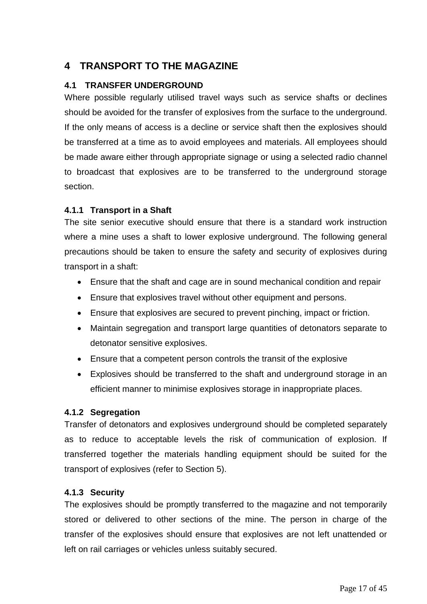# <span id="page-15-0"></span>**4 TRANSPORT TO THE MAGAZINE**

# <span id="page-15-1"></span>**4.1 TRANSFER UNDERGROUND**

Where possible regularly utilised travel ways such as service shafts or declines should be avoided for the transfer of explosives from the surface to the underground. If the only means of access is a decline or service shaft then the explosives should be transferred at a time as to avoid employees and materials. All employees should be made aware either through appropriate signage or using a selected radio channel to broadcast that explosives are to be transferred to the underground storage section.

# <span id="page-15-2"></span>**4.1.1 Transport in a Shaft**

The site senior executive should ensure that there is a standard work instruction where a mine uses a shaft to lower explosive underground. The following general precautions should be taken to ensure the safety and security of explosives during transport in a shaft:

- Ensure that the shaft and cage are in sound mechanical condition and repair
- Ensure that explosives travel without other equipment and persons.
- Ensure that explosives are secured to prevent pinching, impact or friction.
- Maintain segregation and transport large quantities of detonators separate to detonator sensitive explosives.
- Ensure that a competent person controls the transit of the explosive
- Explosives should be transferred to the shaft and underground storage in an efficient manner to minimise explosives storage in inappropriate places.

# <span id="page-15-3"></span>**4.1.2 Segregation**

Transfer of detonators and explosives underground should be completed separately as to reduce to acceptable levels the risk of communication of explosion. If transferred together the materials handling equipment should be suited for the transport of explosives (refer to Section 5).

# <span id="page-15-4"></span>**4.1.3 Security**

The explosives should be promptly transferred to the magazine and not temporarily stored or delivered to other sections of the mine. The person in charge of the transfer of the explosives should ensure that explosives are not left unattended or left on rail carriages or vehicles unless suitably secured.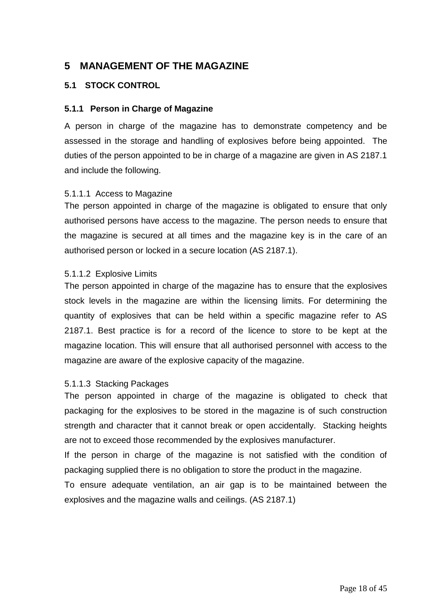# <span id="page-16-0"></span>**5 MANAGEMENT OF THE MAGAZINE**

## <span id="page-16-1"></span>**5.1 STOCK CONTROL**

#### <span id="page-16-2"></span>**5.1.1 Person in Charge of Magazine**

A person in charge of the magazine has to demonstrate competency and be assessed in the storage and handling of explosives before being appointed. The duties of the person appointed to be in charge of a magazine are given in AS 2187.1 and include the following.

#### 5.1.1.1 Access to Magazine

The person appointed in charge of the magazine is obligated to ensure that only authorised persons have access to the magazine. The person needs to ensure that the magazine is secured at all times and the magazine key is in the care of an authorised person or locked in a secure location (AS 2187.1).

#### 5.1.1.2 Explosive Limits

The person appointed in charge of the magazine has to ensure that the explosives stock levels in the magazine are within the licensing limits. For determining the quantity of explosives that can be held within a specific magazine refer to AS 2187.1. Best practice is for a record of the licence to store to be kept at the magazine location. This will ensure that all authorised personnel with access to the magazine are aware of the explosive capacity of the magazine.

#### 5.1.1.3 Stacking Packages

The person appointed in charge of the magazine is obligated to check that packaging for the explosives to be stored in the magazine is of such construction strength and character that it cannot break or open accidentally. Stacking heights are not to exceed those recommended by the explosives manufacturer.

If the person in charge of the magazine is not satisfied with the condition of packaging supplied there is no obligation to store the product in the magazine.

To ensure adequate ventilation, an air gap is to be maintained between the explosives and the magazine walls and ceilings. (AS 2187.1)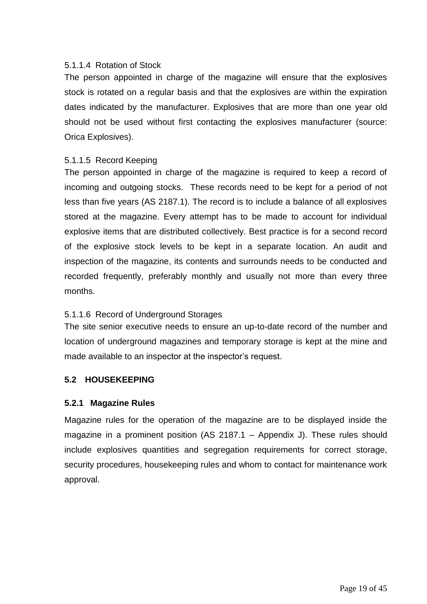## 5.1.1.4 Rotation of Stock

The person appointed in charge of the magazine will ensure that the explosives stock is rotated on a regular basis and that the explosives are within the expiration dates indicated by the manufacturer. Explosives that are more than one year old should not be used without first contacting the explosives manufacturer (source: Orica Explosives).

# 5.1.1.5 Record Keeping

The person appointed in charge of the magazine is required to keep a record of incoming and outgoing stocks. These records need to be kept for a period of not less than five years (AS 2187.1). The record is to include a balance of all explosives stored at the magazine. Every attempt has to be made to account for individual explosive items that are distributed collectively. Best practice is for a second record of the explosive stock levels to be kept in a separate location. An audit and inspection of the magazine, its contents and surrounds needs to be conducted and recorded frequently, preferably monthly and usually not more than every three months.

# 5.1.1.6 Record of Underground Storages

The site senior executive needs to ensure an up-to-date record of the number and location of underground magazines and temporary storage is kept at the mine and made available to an inspector at the inspector's request.

#### <span id="page-17-0"></span>**5.2 HOUSEKEEPING**

#### <span id="page-17-1"></span>**5.2.1 Magazine Rules**

Magazine rules for the operation of the magazine are to be displayed inside the magazine in a prominent position (AS 2187.1 – Appendix J). These rules should include explosives quantities and segregation requirements for correct storage, security procedures, housekeeping rules and whom to contact for maintenance work approval.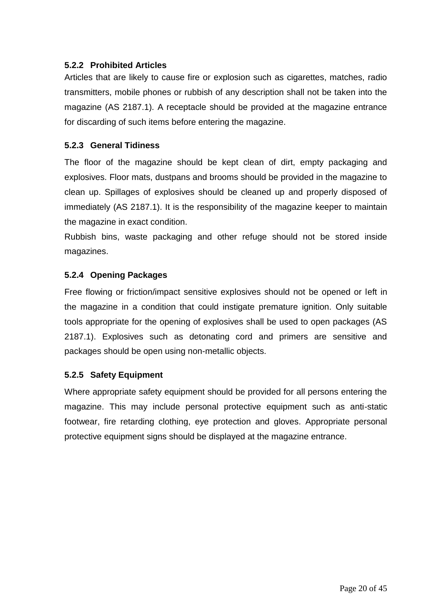# <span id="page-18-0"></span>**5.2.2 Prohibited Articles**

Articles that are likely to cause fire or explosion such as cigarettes, matches, radio transmitters, mobile phones or rubbish of any description shall not be taken into the magazine (AS 2187.1). A receptacle should be provided at the magazine entrance for discarding of such items before entering the magazine.

# <span id="page-18-1"></span>**5.2.3 General Tidiness**

The floor of the magazine should be kept clean of dirt, empty packaging and explosives. Floor mats, dustpans and brooms should be provided in the magazine to clean up. Spillages of explosives should be cleaned up and properly disposed of immediately (AS 2187.1). It is the responsibility of the magazine keeper to maintain the magazine in exact condition.

Rubbish bins, waste packaging and other refuge should not be stored inside magazines.

# <span id="page-18-2"></span>**5.2.4 Opening Packages**

Free flowing or friction/impact sensitive explosives should not be opened or left in the magazine in a condition that could instigate premature ignition. Only suitable tools appropriate for the opening of explosives shall be used to open packages (AS 2187.1). Explosives such as detonating cord and primers are sensitive and packages should be open using non-metallic objects.

# <span id="page-18-3"></span>**5.2.5 Safety Equipment**

Where appropriate safety equipment should be provided for all persons entering the magazine. This may include personal protective equipment such as anti-static footwear, fire retarding clothing, eye protection and gloves. Appropriate personal protective equipment signs should be displayed at the magazine entrance.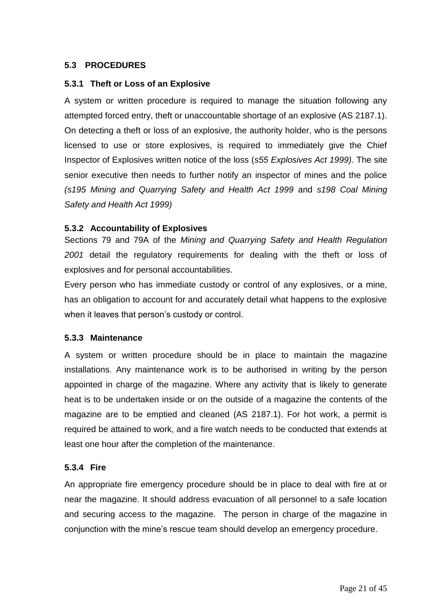# <span id="page-19-0"></span>**5.3 PROCEDURES**

#### <span id="page-19-1"></span>**5.3.1 Theft or Loss of an Explosive**

A system or written procedure is required to manage the situation following any attempted forced entry, theft or unaccountable shortage of an explosive (AS 2187.1). On detecting a theft or loss of an explosive, the authority holder, who is the persons licensed to use or store explosives, is required to immediately give the Chief Inspector of Explosives written notice of the loss (*s55 Explosives Act 1999).* The site senior executive then needs to further notify an inspector of mines and the police *(s195 Mining and Quarrying Safety and Health Act 1999* and *s198 Coal Mining Safety and Health Act 1999)*

## <span id="page-19-2"></span>**5.3.2 Accountability of Explosives**

Sections 79 and 79A of the *Mining and Quarrying Safety and Health Regulation 2001* detail the regulatory requirements for dealing with the theft or loss of explosives and for personal accountabilities.

Every person who has immediate custody or control of any explosives, or a mine, has an obligation to account for and accurately detail what happens to the explosive when it leaves that person's custody or control.

#### <span id="page-19-3"></span>**5.3.3 Maintenance**

A system or written procedure should be in place to maintain the magazine installations. Any maintenance work is to be authorised in writing by the person appointed in charge of the magazine. Where any activity that is likely to generate heat is to be undertaken inside or on the outside of a magazine the contents of the magazine are to be emptied and cleaned (AS 2187.1). For hot work, a permit is required be attained to work, and a fire watch needs to be conducted that extends at least one hour after the completion of the maintenance.

#### <span id="page-19-4"></span>**5.3.4 Fire**

An appropriate fire emergency procedure should be in place to deal with fire at or near the magazine. It should address evacuation of all personnel to a safe location and securing access to the magazine. The person in charge of the magazine in conjunction with the mine's rescue team should develop an emergency procedure.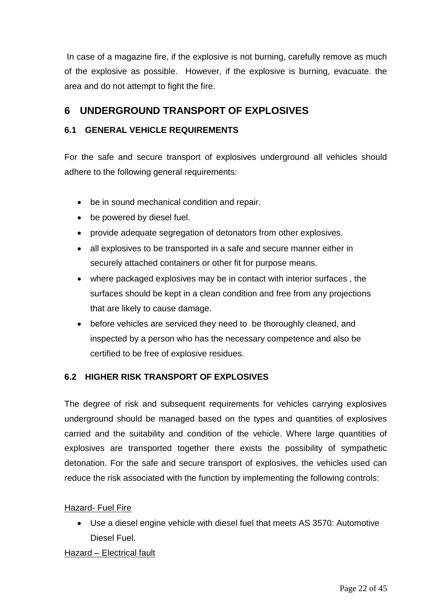In case of a magazine fire, if the explosive is not burning, carefully remove as much of the explosive as possible. However, if the explosive is burning, evacuate. the area and do not attempt to fight the fire.

# <span id="page-20-0"></span>**6 UNDERGROUND TRANSPORT OF EXPLOSIVES**

# <span id="page-20-1"></span>**6.1 GENERAL VEHICLE REQUIREMENTS**

For the safe and secure transport of explosives underground all vehicles should adhere to the following general requirements:

- be in sound mechanical condition and repair.
- be powered by diesel fuel.
- provide adequate segregation of detonators from other explosives.
- all explosives to be transported in a safe and secure manner either in securely attached containers or other fit for purpose means.
- where packaged explosives may be in contact with interior surfaces , the surfaces should be kept in a clean condition and free from any projections that are likely to cause damage.
- before vehicles are serviced they need to be thoroughly cleaned, and inspected by a person who has the necessary competence and also be certified to be free of explosive residues.

# <span id="page-20-2"></span>**6.2 HIGHER RISK TRANSPORT OF EXPLOSIVES**

The degree of risk and subsequent requirements for vehicles carrying explosives underground should be managed based on the types and quantities of explosives carried and the suitability and condition of the vehicle. Where large quantities of explosives are transported together there exists the possibility of sympathetic detonation. For the safe and secure transport of explosives, the vehicles used can reduce the risk associated with the function by implementing the following controls:

# **Hazard- Fuel Fire**

 Use a diesel engine vehicle with diesel fuel that meets AS 3570: Automotive Diesel Fuel.

#### Hazard – Electrical fault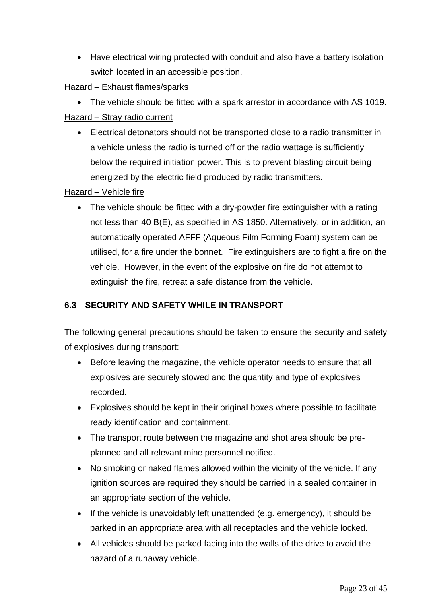Have electrical wiring protected with conduit and also have a battery isolation switch located in an accessible position.

# Hazard – Exhaust flames/sparks

 The vehicle should be fitted with a spark arrestor in accordance with AS 1019. Hazard – Stray radio current

 Electrical detonators should not be transported close to a radio transmitter in a vehicle unless the radio is turned off or the radio wattage is sufficiently below the required initiation power. This is to prevent blasting circuit being energized by the electric field produced by radio transmitters.

# Hazard – Vehicle fire

• The vehicle should be fitted with a dry-powder fire extinguisher with a rating not less than 40 B(E), as specified in AS 1850. Alternatively, or in addition, an automatically operated AFFF (Aqueous Film Forming Foam) system can be utilised, for a fire under the bonnet. Fire extinguishers are to fight a fire on the vehicle. However, in the event of the explosive on fire do not attempt to extinguish the fire, retreat a safe distance from the vehicle.

# <span id="page-21-0"></span>**6.3 SECURITY AND SAFETY WHILE IN TRANSPORT**

The following general precautions should be taken to ensure the security and safety of explosives during transport:

- Before leaving the magazine, the vehicle operator needs to ensure that all explosives are securely stowed and the quantity and type of explosives recorded.
- Explosives should be kept in their original boxes where possible to facilitate ready identification and containment.
- The transport route between the magazine and shot area should be preplanned and all relevant mine personnel notified.
- No smoking or naked flames allowed within the vicinity of the vehicle. If any ignition sources are required they should be carried in a sealed container in an appropriate section of the vehicle.
- If the vehicle is unavoidably left unattended (e.g. emergency), it should be parked in an appropriate area with all receptacles and the vehicle locked.
- All vehicles should be parked facing into the walls of the drive to avoid the hazard of a runaway vehicle.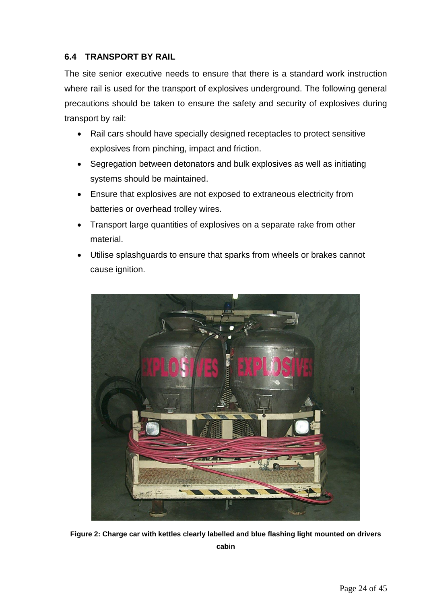# <span id="page-22-0"></span>**6.4 TRANSPORT BY RAIL**

The site senior executive needs to ensure that there is a standard work instruction where rail is used for the transport of explosives underground. The following general precautions should be taken to ensure the safety and security of explosives during transport by rail:

- Rail cars should have specially designed receptacles to protect sensitive explosives from pinching, impact and friction.
- Segregation between detonators and bulk explosives as well as initiating systems should be maintained.
- Ensure that explosives are not exposed to extraneous electricity from batteries or overhead trolley wires.
- Transport large quantities of explosives on a separate rake from other material.
- Utilise splashguards to ensure that sparks from wheels or brakes cannot cause ignition.



**Figure 2: Charge car with kettles clearly labelled and blue flashing light mounted on drivers cabin**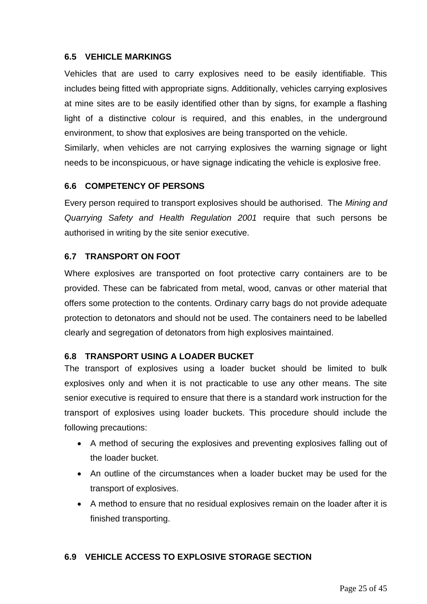## <span id="page-23-0"></span>**6.5 VEHICLE MARKINGS**

Vehicles that are used to carry explosives need to be easily identifiable. This includes being fitted with appropriate signs. Additionally, vehicles carrying explosives at mine sites are to be easily identified other than by signs, for example a flashing light of a distinctive colour is required, and this enables, in the underground environment, to show that explosives are being transported on the vehicle.

Similarly, when vehicles are not carrying explosives the warning signage or light needs to be inconspicuous, or have signage indicating the vehicle is explosive free.

## <span id="page-23-1"></span>**6.6 COMPETENCY OF PERSONS**

Every person required to transport explosives should be authorised. The *Mining and Quarrying Safety and Health Regulation 2001* require that such persons be authorised in writing by the site senior executive.

# <span id="page-23-2"></span>**6.7 TRANSPORT ON FOOT**

Where explosives are transported on foot protective carry containers are to be provided. These can be fabricated from metal, wood, canvas or other material that offers some protection to the contents. Ordinary carry bags do not provide adequate protection to detonators and should not be used. The containers need to be labelled clearly and segregation of detonators from high explosives maintained.

#### <span id="page-23-3"></span>**6.8 TRANSPORT USING A LOADER BUCKET**

The transport of explosives using a loader bucket should be limited to bulk explosives only and when it is not practicable to use any other means. The site senior executive is required to ensure that there is a standard work instruction for the transport of explosives using loader buckets. This procedure should include the following precautions:

- A method of securing the explosives and preventing explosives falling out of the loader bucket.
- An outline of the circumstances when a loader bucket may be used for the transport of explosives.
- A method to ensure that no residual explosives remain on the loader after it is finished transporting.

#### <span id="page-23-4"></span>**6.9 VEHICLE ACCESS TO EXPLOSIVE STORAGE SECTION**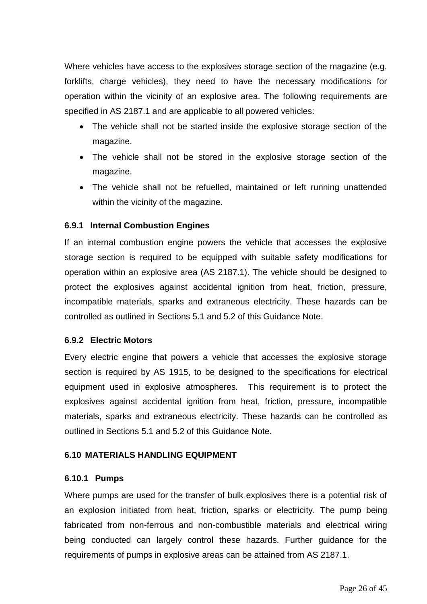Where vehicles have access to the explosives storage section of the magazine (e.g. forklifts, charge vehicles), they need to have the necessary modifications for operation within the vicinity of an explosive area. The following requirements are specified in AS 2187.1 and are applicable to all powered vehicles:

- The vehicle shall not be started inside the explosive storage section of the magazine.
- The vehicle shall not be stored in the explosive storage section of the magazine.
- The vehicle shall not be refuelled, maintained or left running unattended within the vicinity of the magazine.

# <span id="page-24-0"></span>**6.9.1 Internal Combustion Engines**

If an internal combustion engine powers the vehicle that accesses the explosive storage section is required to be equipped with suitable safety modifications for operation within an explosive area (AS 2187.1). The vehicle should be designed to protect the explosives against accidental ignition from heat, friction, pressure, incompatible materials, sparks and extraneous electricity. These hazards can be controlled as outlined in Sections 5.1 and 5.2 of this Guidance Note.

#### <span id="page-24-1"></span>**6.9.2 Electric Motors**

Every electric engine that powers a vehicle that accesses the explosive storage section is required by AS 1915, to be designed to the specifications for electrical equipment used in explosive atmospheres. This requirement is to protect the explosives against accidental ignition from heat, friction, pressure, incompatible materials, sparks and extraneous electricity. These hazards can be controlled as outlined in Sections 5.1 and 5.2 of this Guidance Note.

#### <span id="page-24-2"></span>**6.10 MATERIALS HANDLING EQUIPMENT**

#### <span id="page-24-3"></span>**6.10.1 Pumps**

Where pumps are used for the transfer of bulk explosives there is a potential risk of an explosion initiated from heat, friction, sparks or electricity. The pump being fabricated from non-ferrous and non-combustible materials and electrical wiring being conducted can largely control these hazards. Further guidance for the requirements of pumps in explosive areas can be attained from AS 2187.1.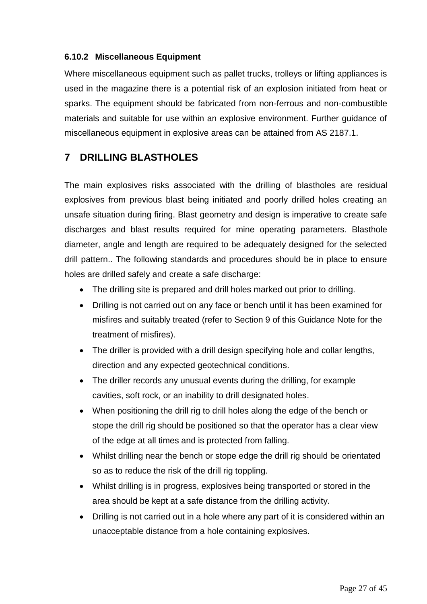# <span id="page-25-0"></span>**6.10.2 Miscellaneous Equipment**

Where miscellaneous equipment such as pallet trucks, trolleys or lifting appliances is used in the magazine there is a potential risk of an explosion initiated from heat or sparks. The equipment should be fabricated from non-ferrous and non-combustible materials and suitable for use within an explosive environment. Further guidance of miscellaneous equipment in explosive areas can be attained from AS 2187.1.

# <span id="page-25-1"></span>**7 DRILLING BLASTHOLES**

The main explosives risks associated with the drilling of blastholes are residual explosives from previous blast being initiated and poorly drilled holes creating an unsafe situation during firing. Blast geometry and design is imperative to create safe discharges and blast results required for mine operating parameters. Blasthole diameter, angle and length are required to be adequately designed for the selected drill pattern.. The following standards and procedures should be in place to ensure holes are drilled safely and create a safe discharge:

- The drilling site is prepared and drill holes marked out prior to drilling.
- Drilling is not carried out on any face or bench until it has been examined for misfires and suitably treated (refer to Section 9 of this Guidance Note for the treatment of misfires).
- The driller is provided with a drill design specifying hole and collar lengths, direction and any expected geotechnical conditions.
- The driller records any unusual events during the drilling, for example cavities, soft rock, or an inability to drill designated holes.
- When positioning the drill rig to drill holes along the edge of the bench or stope the drill rig should be positioned so that the operator has a clear view of the edge at all times and is protected from falling.
- Whilst drilling near the bench or stope edge the drill rig should be orientated so as to reduce the risk of the drill rig toppling.
- Whilst drilling is in progress, explosives being transported or stored in the area should be kept at a safe distance from the drilling activity.
- Drilling is not carried out in a hole where any part of it is considered within an unacceptable distance from a hole containing explosives.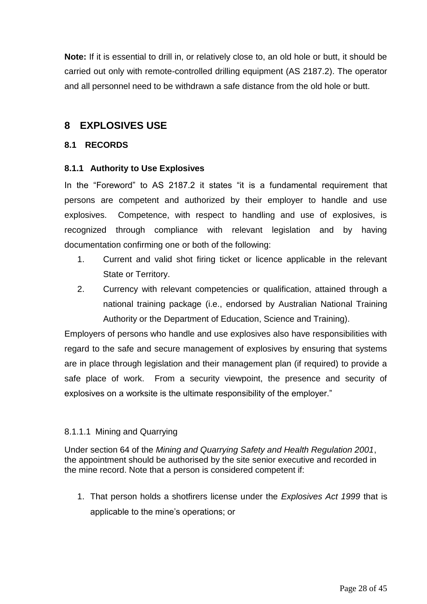**Note:** If it is essential to drill in, or relatively close to, an old hole or butt, it should be carried out only with remote-controlled drilling equipment (AS 2187.2). The operator and all personnel need to be withdrawn a safe distance from the old hole or butt.

# <span id="page-26-0"></span>**8 EXPLOSIVES USE**

#### <span id="page-26-1"></span>**8.1 RECORDS**

## <span id="page-26-2"></span>**8.1.1 Authority to Use Explosives**

In the "Foreword" to AS 2187.2 it states "it is a fundamental requirement that persons are competent and authorized by their employer to handle and use explosives. Competence, with respect to handling and use of explosives, is recognized through compliance with relevant legislation and by having documentation confirming one or both of the following:

- 1. Current and valid shot firing ticket or licence applicable in the relevant State or Territory.
- 2. Currency with relevant competencies or qualification, attained through a national training package (i.e., endorsed by Australian National Training Authority or the Department of Education, Science and Training).

Employers of persons who handle and use explosives also have responsibilities with regard to the safe and secure management of explosives by ensuring that systems are in place through legislation and their management plan (if required) to provide a safe place of work. From a security viewpoint, the presence and security of explosives on a worksite is the ultimate responsibility of the employer."

# 8.1.1.1 Mining and Quarrying

Under section 64 of the *Mining and Quarrying Safety and Health Regulation 2001*, the appointment should be authorised by the site senior executive and recorded in the mine record. Note that a person is considered competent if:

1. That person holds a shotfirers license under the *Explosives Act 1999* that is applicable to the mine's operations; or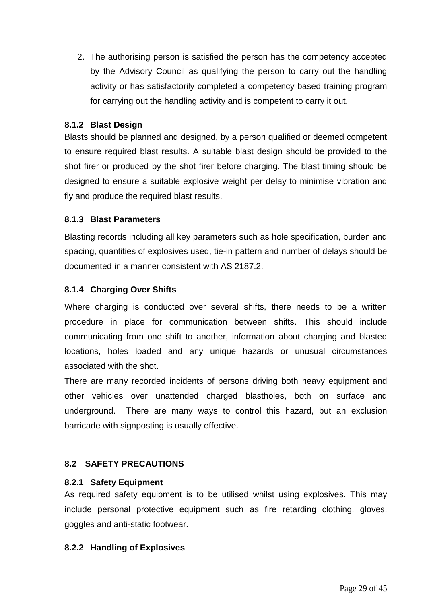2. The authorising person is satisfied the person has the competency accepted by the Advisory Council as qualifying the person to carry out the handling activity or has satisfactorily completed a competency based training program for carrying out the handling activity and is competent to carry it out.

## <span id="page-27-0"></span>**8.1.2 Blast Design**

Blasts should be planned and designed, by a person qualified or deemed competent to ensure required blast results. A suitable blast design should be provided to the shot firer or produced by the shot firer before charging. The blast timing should be designed to ensure a suitable explosive weight per delay to minimise vibration and fly and produce the required blast results.

## <span id="page-27-1"></span>**8.1.3 Blast Parameters**

Blasting records including all key parameters such as hole specification, burden and spacing, quantities of explosives used, tie-in pattern and number of delays should be documented in a manner consistent with AS 2187.2.

## <span id="page-27-2"></span>**8.1.4 Charging Over Shifts**

Where charging is conducted over several shifts, there needs to be a written procedure in place for communication between shifts. This should include communicating from one shift to another, information about charging and blasted locations, holes loaded and any unique hazards or unusual circumstances associated with the shot.

There are many recorded incidents of persons driving both heavy equipment and other vehicles over unattended charged blastholes, both on surface and underground. There are many ways to control this hazard, but an exclusion barricade with signposting is usually effective.

# <span id="page-27-3"></span>**8.2 SAFETY PRECAUTIONS**

#### <span id="page-27-4"></span>**8.2.1 Safety Equipment**

As required safety equipment is to be utilised whilst using explosives. This may include personal protective equipment such as fire retarding clothing, gloves, goggles and anti-static footwear.

#### <span id="page-27-5"></span>**8.2.2 Handling of Explosives**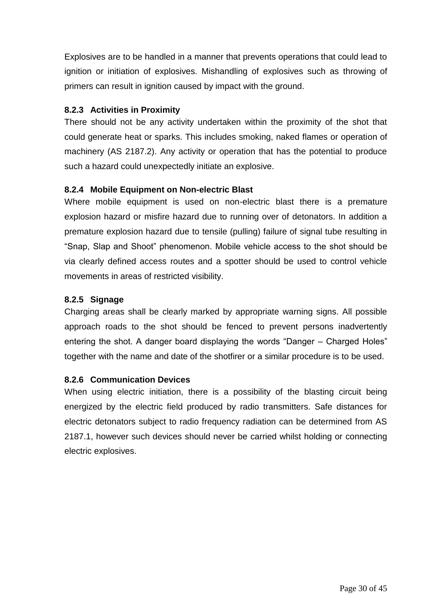Explosives are to be handled in a manner that prevents operations that could lead to ignition or initiation of explosives. Mishandling of explosives such as throwing of primers can result in ignition caused by impact with the ground.

## <span id="page-28-0"></span>**8.2.3 Activities in Proximity**

There should not be any activity undertaken within the proximity of the shot that could generate heat or sparks. This includes smoking, naked flames or operation of machinery (AS 2187.2). Any activity or operation that has the potential to produce such a hazard could unexpectedly initiate an explosive.

## <span id="page-28-1"></span>**8.2.4 Mobile Equipment on Non-electric Blast**

Where mobile equipment is used on non-electric blast there is a premature explosion hazard or misfire hazard due to running over of detonators. In addition a premature explosion hazard due to tensile (pulling) failure of signal tube resulting in "Snap, Slap and Shoot" phenomenon. Mobile vehicle access to the shot should be via clearly defined access routes and a spotter should be used to control vehicle movements in areas of restricted visibility.

#### <span id="page-28-2"></span>**8.2.5 Signage**

Charging areas shall be clearly marked by appropriate warning signs. All possible approach roads to the shot should be fenced to prevent persons inadvertently entering the shot. A danger board displaying the words "Danger – Charged Holes" together with the name and date of the shotfirer or a similar procedure is to be used.

#### <span id="page-28-3"></span>**8.2.6 Communication Devices**

When using electric initiation, there is a possibility of the blasting circuit being energized by the electric field produced by radio transmitters. Safe distances for electric detonators subject to radio frequency radiation can be determined from AS 2187.1, however such devices should never be carried whilst holding or connecting electric explosives.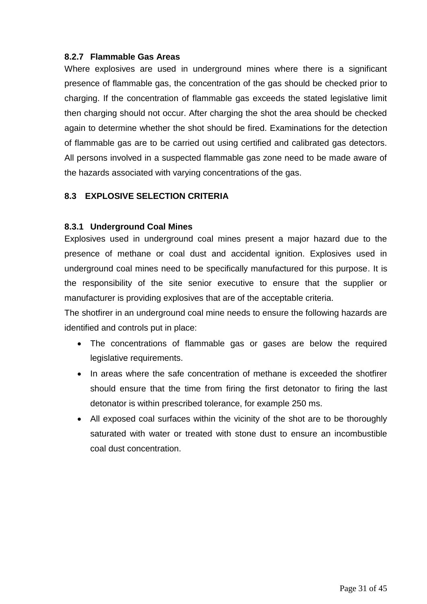## <span id="page-29-0"></span>**8.2.7 Flammable Gas Areas**

Where explosives are used in underground mines where there is a significant presence of flammable gas, the concentration of the gas should be checked prior to charging. If the concentration of flammable gas exceeds the stated legislative limit then charging should not occur. After charging the shot the area should be checked again to determine whether the shot should be fired. Examinations for the detection of flammable gas are to be carried out using certified and calibrated gas detectors. All persons involved in a suspected flammable gas zone need to be made aware of the hazards associated with varying concentrations of the gas.

# <span id="page-29-1"></span>**8.3 EXPLOSIVE SELECTION CRITERIA**

#### <span id="page-29-2"></span>**8.3.1 Underground Coal Mines**

Explosives used in underground coal mines present a major hazard due to the presence of methane or coal dust and accidental ignition. Explosives used in underground coal mines need to be specifically manufactured for this purpose. It is the responsibility of the site senior executive to ensure that the supplier or manufacturer is providing explosives that are of the acceptable criteria.

The shotfirer in an underground coal mine needs to ensure the following hazards are identified and controls put in place:

- The concentrations of flammable gas or gases are below the required legislative requirements.
- In areas where the safe concentration of methane is exceeded the shotfirer should ensure that the time from firing the first detonator to firing the last detonator is within prescribed tolerance, for example 250 ms.
- All exposed coal surfaces within the vicinity of the shot are to be thoroughly saturated with water or treated with stone dust to ensure an incombustible coal dust concentration.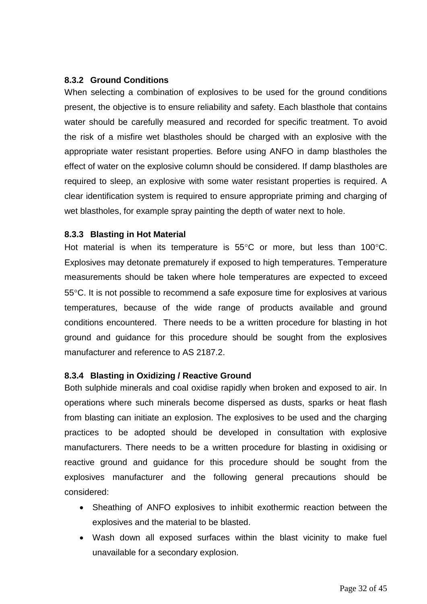## <span id="page-30-0"></span>**8.3.2 Ground Conditions**

When selecting a combination of explosives to be used for the ground conditions present, the objective is to ensure reliability and safety. Each blasthole that contains water should be carefully measured and recorded for specific treatment. To avoid the risk of a misfire wet blastholes should be charged with an explosive with the appropriate water resistant properties. Before using ANFO in damp blastholes the effect of water on the explosive column should be considered. If damp blastholes are required to sleep, an explosive with some water resistant properties is required. A clear identification system is required to ensure appropriate priming and charging of wet blastholes, for example spray painting the depth of water next to hole.

#### <span id="page-30-1"></span>**8.3.3 Blasting in Hot Material**

Hot material is when its temperature is  $55^{\circ}$ C or more, but less than 100 $^{\circ}$ C. Explosives may detonate prematurely if exposed to high temperatures. Temperature measurements should be taken where hole temperatures are expected to exceed 55C. It is not possible to recommend a safe exposure time for explosives at various temperatures, because of the wide range of products available and ground conditions encountered. There needs to be a written procedure for blasting in hot ground and guidance for this procedure should be sought from the explosives manufacturer and reference to AS 2187.2.

#### <span id="page-30-2"></span>**8.3.4 Blasting in Oxidizing / Reactive Ground**

Both sulphide minerals and coal oxidise rapidly when broken and exposed to air. In operations where such minerals become dispersed as dusts, sparks or heat flash from blasting can initiate an explosion. The explosives to be used and the charging practices to be adopted should be developed in consultation with explosive manufacturers. There needs to be a written procedure for blasting in oxidising or reactive ground and guidance for this procedure should be sought from the explosives manufacturer and the following general precautions should be considered:

- Sheathing of ANFO explosives to inhibit exothermic reaction between the explosives and the material to be blasted.
- Wash down all exposed surfaces within the blast vicinity to make fuel unavailable for a secondary explosion.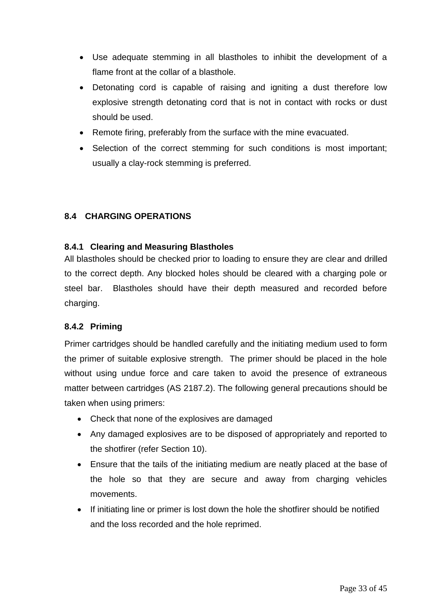- Use adequate stemming in all blastholes to inhibit the development of a flame front at the collar of a blasthole.
- Detonating cord is capable of raising and igniting a dust therefore low explosive strength detonating cord that is not in contact with rocks or dust should be used.
- Remote firing, preferably from the surface with the mine evacuated.
- Selection of the correct stemming for such conditions is most important; usually a clay-rock stemming is preferred.

## <span id="page-31-0"></span>**8.4 CHARGING OPERATIONS**

## <span id="page-31-1"></span>**8.4.1 Clearing and Measuring Blastholes**

All blastholes should be checked prior to loading to ensure they are clear and drilled to the correct depth. Any blocked holes should be cleared with a charging pole or steel bar. Blastholes should have their depth measured and recorded before charging.

# <span id="page-31-2"></span>**8.4.2 Priming**

Primer cartridges should be handled carefully and the initiating medium used to form the primer of suitable explosive strength. The primer should be placed in the hole without using undue force and care taken to avoid the presence of extraneous matter between cartridges (AS 2187.2). The following general precautions should be taken when using primers:

- Check that none of the explosives are damaged
- Any damaged explosives are to be disposed of appropriately and reported to the shotfirer (refer Section 10).
- Ensure that the tails of the initiating medium are neatly placed at the base of the hole so that they are secure and away from charging vehicles movements.
- If initiating line or primer is lost down the hole the shotfirer should be notified and the loss recorded and the hole reprimed.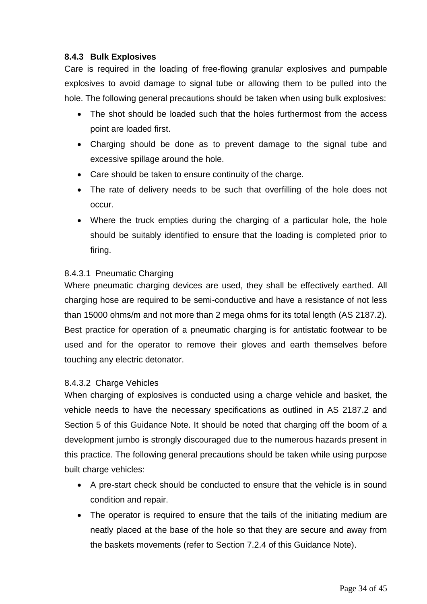# <span id="page-32-0"></span>**8.4.3 Bulk Explosives**

Care is required in the loading of free-flowing granular explosives and pumpable explosives to avoid damage to signal tube or allowing them to be pulled into the hole. The following general precautions should be taken when using bulk explosives:

- The shot should be loaded such that the holes furthermost from the access point are loaded first.
- Charging should be done as to prevent damage to the signal tube and excessive spillage around the hole.
- Care should be taken to ensure continuity of the charge.
- The rate of delivery needs to be such that overfilling of the hole does not occur.
- Where the truck empties during the charging of a particular hole, the hole should be suitably identified to ensure that the loading is completed prior to firing.

## 8.4.3.1 Pneumatic Charging

Where pneumatic charging devices are used, they shall be effectively earthed. All charging hose are required to be semi-conductive and have a resistance of not less than 15000 ohms/m and not more than 2 mega ohms for its total length (AS 2187.2). Best practice for operation of a pneumatic charging is for antistatic footwear to be used and for the operator to remove their gloves and earth themselves before touching any electric detonator.

#### 8.4.3.2 Charge Vehicles

When charging of explosives is conducted using a charge vehicle and basket, the vehicle needs to have the necessary specifications as outlined in AS 2187.2 and Section 5 of this Guidance Note. It should be noted that charging off the boom of a development jumbo is strongly discouraged due to the numerous hazards present in this practice. The following general precautions should be taken while using purpose built charge vehicles:

- A pre-start check should be conducted to ensure that the vehicle is in sound condition and repair.
- The operator is required to ensure that the tails of the initiating medium are neatly placed at the base of the hole so that they are secure and away from the baskets movements (refer to Section 7.2.4 of this Guidance Note).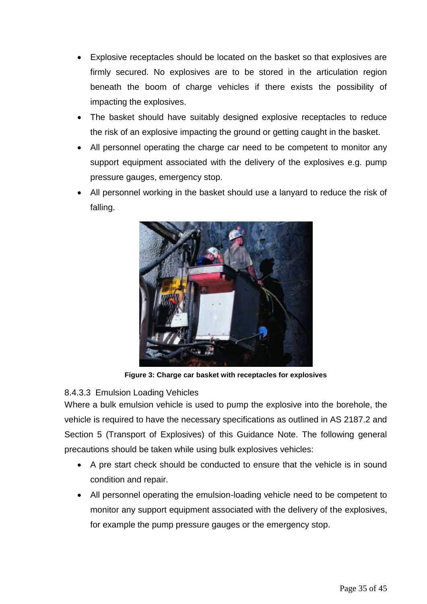- Explosive receptacles should be located on the basket so that explosives are firmly secured. No explosives are to be stored in the articulation region beneath the boom of charge vehicles if there exists the possibility of impacting the explosives.
- The basket should have suitably designed explosive receptacles to reduce the risk of an explosive impacting the ground or getting caught in the basket.
- All personnel operating the charge car need to be competent to monitor any support equipment associated with the delivery of the explosives e.g. pump pressure gauges, emergency stop.
- All personnel working in the basket should use a lanyard to reduce the risk of falling.



**Figure 3: Charge car basket with receptacles for explosives**

# 8.4.3.3 Emulsion Loading Vehicles

Where a bulk emulsion vehicle is used to pump the explosive into the borehole, the vehicle is required to have the necessary specifications as outlined in AS 2187.2 and Section 5 (Transport of Explosives) of this Guidance Note. The following general precautions should be taken while using bulk explosives vehicles:

- A pre start check should be conducted to ensure that the vehicle is in sound condition and repair.
- All personnel operating the emulsion-loading vehicle need to be competent to monitor any support equipment associated with the delivery of the explosives, for example the pump pressure gauges or the emergency stop.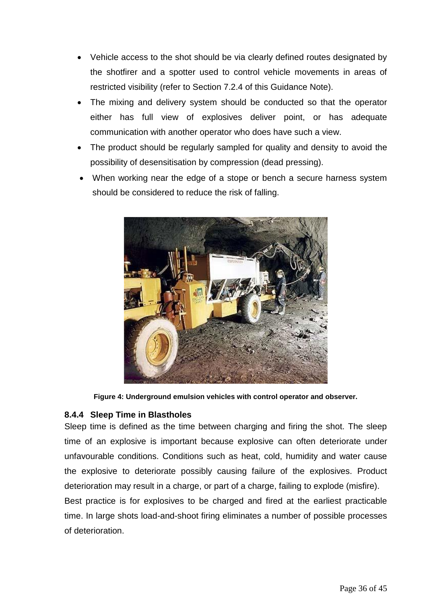- Vehicle access to the shot should be via clearly defined routes designated by the shotfirer and a spotter used to control vehicle movements in areas of restricted visibility (refer to Section 7.2.4 of this Guidance Note).
- The mixing and delivery system should be conducted so that the operator either has full view of explosives deliver point, or has adequate communication with another operator who does have such a view.
- The product should be regularly sampled for quality and density to avoid the possibility of desensitisation by compression (dead pressing).
- When working near the edge of a stope or bench a secure harness system should be considered to reduce the risk of falling.



**Figure 4: Underground emulsion vehicles with control operator and observer.**

# <span id="page-34-0"></span>**8.4.4 Sleep Time in Blastholes**

Sleep time is defined as the time between charging and firing the shot. The sleep time of an explosive is important because explosive can often deteriorate under unfavourable conditions. Conditions such as heat, cold, humidity and water cause the explosive to deteriorate possibly causing failure of the explosives. Product deterioration may result in a charge, or part of a charge, failing to explode (misfire).

Best practice is for explosives to be charged and fired at the earliest practicable time. In large shots load-and-shoot firing eliminates a number of possible processes of deterioration.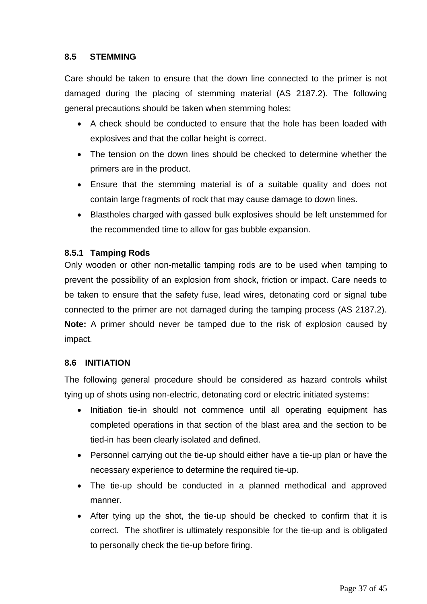# <span id="page-35-0"></span>**8.5 STEMMING**

Care should be taken to ensure that the down line connected to the primer is not damaged during the placing of stemming material (AS 2187.2). The following general precautions should be taken when stemming holes:

- A check should be conducted to ensure that the hole has been loaded with explosives and that the collar height is correct.
- The tension on the down lines should be checked to determine whether the primers are in the product.
- Ensure that the stemming material is of a suitable quality and does not contain large fragments of rock that may cause damage to down lines.
- Blastholes charged with gassed bulk explosives should be left unstemmed for the recommended time to allow for gas bubble expansion.

# <span id="page-35-1"></span>**8.5.1 Tamping Rods**

Only wooden or other non-metallic tamping rods are to be used when tamping to prevent the possibility of an explosion from shock, friction or impact. Care needs to be taken to ensure that the safety fuse, lead wires, detonating cord or signal tube connected to the primer are not damaged during the tamping process (AS 2187.2). **Note:** A primer should never be tamped due to the risk of explosion caused by impact.

#### <span id="page-35-2"></span>**8.6 INITIATION**

The following general procedure should be considered as hazard controls whilst tying up of shots using non-electric, detonating cord or electric initiated systems:

- Initiation tie-in should not commence until all operating equipment has completed operations in that section of the blast area and the section to be tied-in has been clearly isolated and defined.
- Personnel carrying out the tie-up should either have a tie-up plan or have the necessary experience to determine the required tie-up.
- The tie-up should be conducted in a planned methodical and approved manner.
- After tying up the shot, the tie-up should be checked to confirm that it is correct. The shotfirer is ultimately responsible for the tie-up and is obligated to personally check the tie-up before firing.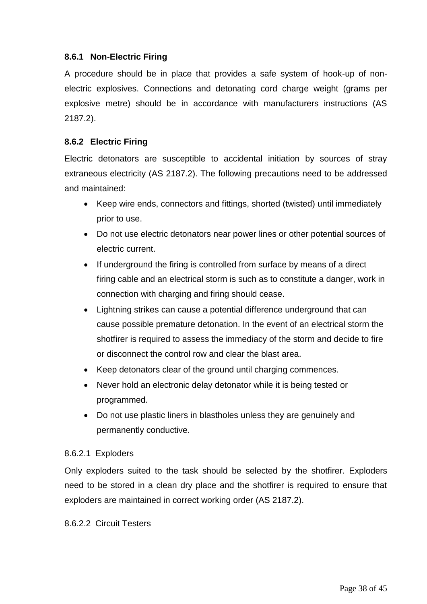## <span id="page-36-0"></span>**8.6.1 Non-Electric Firing**

A procedure should be in place that provides a safe system of hook-up of nonelectric explosives. Connections and detonating cord charge weight (grams per explosive metre) should be in accordance with manufacturers instructions (AS 2187.2).

## <span id="page-36-1"></span>**8.6.2 Electric Firing**

Electric detonators are susceptible to accidental initiation by sources of stray extraneous electricity (AS 2187.2). The following precautions need to be addressed and maintained:

- Keep wire ends, connectors and fittings, shorted (twisted) until immediately prior to use.
- Do not use electric detonators near power lines or other potential sources of electric current.
- If underground the firing is controlled from surface by means of a direct firing cable and an electrical storm is such as to constitute a danger, work in connection with charging and firing should cease.
- Lightning strikes can cause a potential difference underground that can cause possible premature detonation. In the event of an electrical storm the shotfirer is required to assess the immediacy of the storm and decide to fire or disconnect the control row and clear the blast area.
- Keep detonators clear of the ground until charging commences.
- Never hold an electronic delay detonator while it is being tested or programmed.
- Do not use plastic liners in blastholes unless they are genuinely and permanently conductive.

# 8.6.2.1 Exploders

Only exploders suited to the task should be selected by the shotfirer. Exploders need to be stored in a clean dry place and the shotfirer is required to ensure that exploders are maintained in correct working order (AS 2187.2).

#### 8.6.2.2 Circuit Testers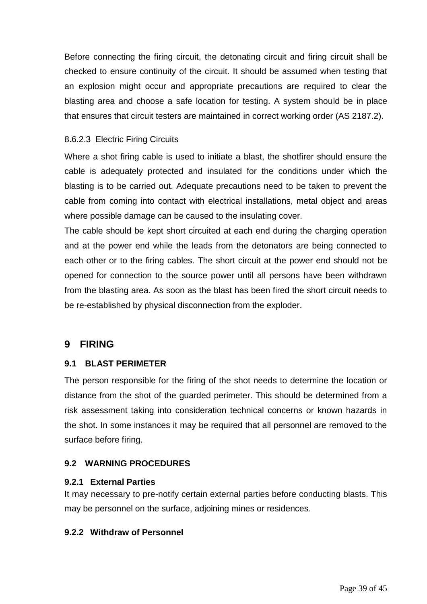Before connecting the firing circuit, the detonating circuit and firing circuit shall be checked to ensure continuity of the circuit. It should be assumed when testing that an explosion might occur and appropriate precautions are required to clear the blasting area and choose a safe location for testing. A system should be in place that ensures that circuit testers are maintained in correct working order (AS 2187.2).

# 8.6.2.3 Electric Firing Circuits

Where a shot firing cable is used to initiate a blast, the shotfirer should ensure the cable is adequately protected and insulated for the conditions under which the blasting is to be carried out. Adequate precautions need to be taken to prevent the cable from coming into contact with electrical installations, metal object and areas where possible damage can be caused to the insulating cover.

The cable should be kept short circuited at each end during the charging operation and at the power end while the leads from the detonators are being connected to each other or to the firing cables. The short circuit at the power end should not be opened for connection to the source power until all persons have been withdrawn from the blasting area. As soon as the blast has been fired the short circuit needs to be re-established by physical disconnection from the exploder.

# <span id="page-37-0"></span>**9 FIRING**

# <span id="page-37-1"></span>**9.1 BLAST PERIMETER**

The person responsible for the firing of the shot needs to determine the location or distance from the shot of the guarded perimeter. This should be determined from a risk assessment taking into consideration technical concerns or known hazards in the shot. In some instances it may be required that all personnel are removed to the surface before firing.

# <span id="page-37-2"></span>**9.2 WARNING PROCEDURES**

# <span id="page-37-3"></span>**9.2.1 External Parties**

It may necessary to pre-notify certain external parties before conducting blasts. This may be personnel on the surface, adjoining mines or residences.

# <span id="page-37-4"></span>**9.2.2 Withdraw of Personnel**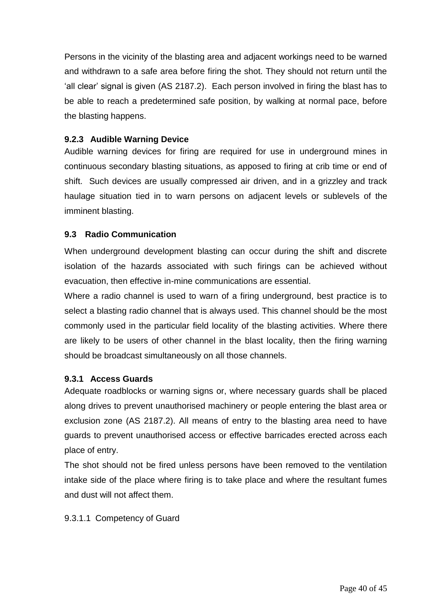Persons in the vicinity of the blasting area and adjacent workings need to be warned and withdrawn to a safe area before firing the shot. They should not return until the 'all clear' signal is given (AS 2187.2). Each person involved in firing the blast has to be able to reach a predetermined safe position, by walking at normal pace, before the blasting happens.

# <span id="page-38-0"></span>**9.2.3 Audible Warning Device**

Audible warning devices for firing are required for use in underground mines in continuous secondary blasting situations, as apposed to firing at crib time or end of shift. Such devices are usually compressed air driven, and in a grizzley and track haulage situation tied in to warn persons on adjacent levels or sublevels of the imminent blasting.

# <span id="page-38-1"></span>**9.3 Radio Communication**

When underground development blasting can occur during the shift and discrete isolation of the hazards associated with such firings can be achieved without evacuation, then effective in-mine communications are essential.

Where a radio channel is used to warn of a firing underground, best practice is to select a blasting radio channel that is always used. This channel should be the most commonly used in the particular field locality of the blasting activities. Where there are likely to be users of other channel in the blast locality, then the firing warning should be broadcast simultaneously on all those channels.

# <span id="page-38-2"></span>**9.3.1 Access Guards**

Adequate roadblocks or warning signs or, where necessary guards shall be placed along drives to prevent unauthorised machinery or people entering the blast area or exclusion zone (AS 2187.2). All means of entry to the blasting area need to have guards to prevent unauthorised access or effective barricades erected across each place of entry.

The shot should not be fired unless persons have been removed to the ventilation intake side of the place where firing is to take place and where the resultant fumes and dust will not affect them.

# 9.3.1.1 Competency of Guard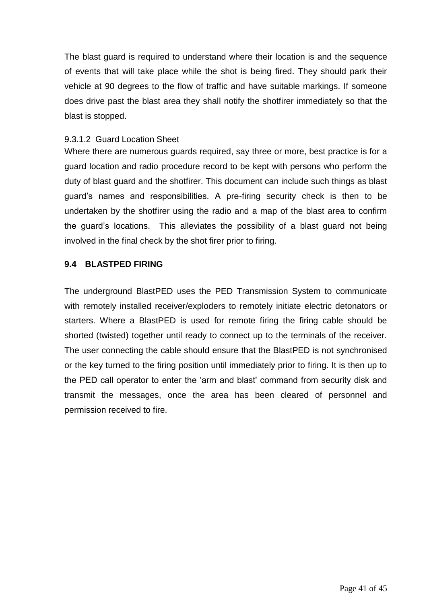The blast guard is required to understand where their location is and the sequence of events that will take place while the shot is being fired. They should park their vehicle at 90 degrees to the flow of traffic and have suitable markings. If someone does drive past the blast area they shall notify the shotfirer immediately so that the blast is stopped.

#### 9.3.1.2 Guard Location Sheet

Where there are numerous guards required, say three or more, best practice is for a guard location and radio procedure record to be kept with persons who perform the duty of blast guard and the shotfirer. This document can include such things as blast guard's names and responsibilities. A pre-firing security check is then to be undertaken by the shotfirer using the radio and a map of the blast area to confirm the guard's locations. This alleviates the possibility of a blast guard not being involved in the final check by the shot firer prior to firing.

## <span id="page-39-0"></span>**9.4 BLASTPED FIRING**

The underground BlastPED uses the PED Transmission System to communicate with remotely installed receiver/exploders to remotely initiate electric detonators or starters. Where a BlastPED is used for remote firing the firing cable should be shorted (twisted) together until ready to connect up to the terminals of the receiver. The user connecting the cable should ensure that the BlastPED is not synchronised or the key turned to the firing position until immediately prior to firing. It is then up to the PED call operator to enter the 'arm and blast' command from security disk and transmit the messages, once the area has been cleared of personnel and permission received to fire.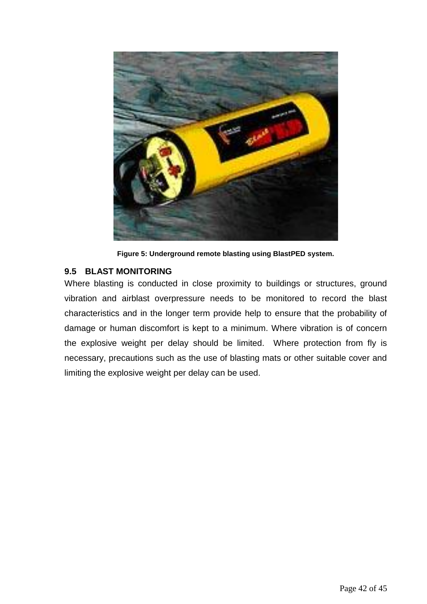

**Figure 5: Underground remote blasting using BlastPED system.**

# <span id="page-40-0"></span>**9.5 BLAST MONITORING**

Where blasting is conducted in close proximity to buildings or structures, ground vibration and airblast overpressure needs to be monitored to record the blast characteristics and in the longer term provide help to ensure that the probability of damage or human discomfort is kept to a minimum. Where vibration is of concern the explosive weight per delay should be limited. Where protection from fly is necessary, precautions such as the use of blasting mats or other suitable cover and limiting the explosive weight per delay can be used.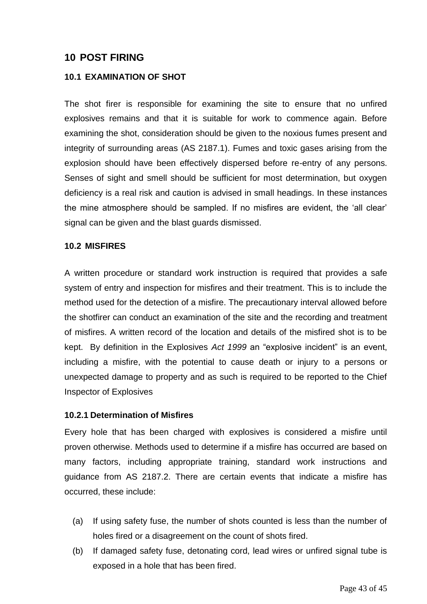# <span id="page-41-0"></span>**10 POST FIRING**

#### <span id="page-41-1"></span>**10.1 EXAMINATION OF SHOT**

The shot firer is responsible for examining the site to ensure that no unfired explosives remains and that it is suitable for work to commence again. Before examining the shot, consideration should be given to the noxious fumes present and integrity of surrounding areas (AS 2187.1). Fumes and toxic gases arising from the explosion should have been effectively dispersed before re-entry of any persons. Senses of sight and smell should be sufficient for most determination, but oxygen deficiency is a real risk and caution is advised in small headings. In these instances the mine atmosphere should be sampled. If no misfires are evident, the 'all clear' signal can be given and the blast guards dismissed.

#### <span id="page-41-2"></span>**10.2 MISFIRES**

A written procedure or standard work instruction is required that provides a safe system of entry and inspection for misfires and their treatment. This is to include the method used for the detection of a misfire. The precautionary interval allowed before the shotfirer can conduct an examination of the site and the recording and treatment of misfires. A written record of the location and details of the misfired shot is to be kept. By definition in the Explosives *Act 1999* an "explosive incident" is an event, including a misfire, with the potential to cause death or injury to a persons or unexpected damage to property and as such is required to be reported to the Chief Inspector of Explosives

#### <span id="page-41-3"></span>**10.2.1 Determination of Misfires**

Every hole that has been charged with explosives is considered a misfire until proven otherwise. Methods used to determine if a misfire has occurred are based on many factors, including appropriate training, standard work instructions and guidance from AS 2187.2. There are certain events that indicate a misfire has occurred, these include:

- (a) If using safety fuse, the number of shots counted is less than the number of holes fired or a disagreement on the count of shots fired.
- (b) If damaged safety fuse, detonating cord, lead wires or unfired signal tube is exposed in a hole that has been fired.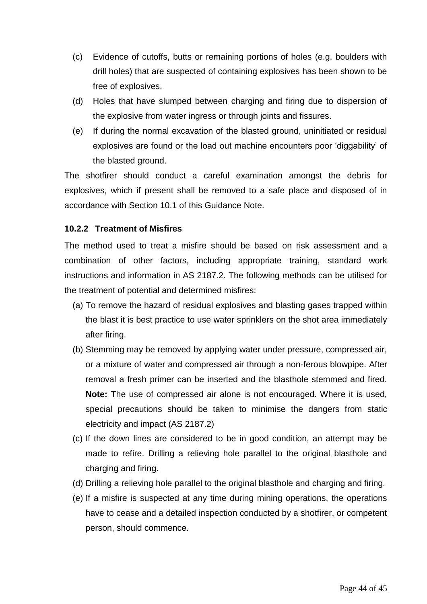- (c) Evidence of cutoffs, butts or remaining portions of holes (e.g. boulders with drill holes) that are suspected of containing explosives has been shown to be free of explosives.
- (d) Holes that have slumped between charging and firing due to dispersion of the explosive from water ingress or through joints and fissures.
- (e) If during the normal excavation of the blasted ground, uninitiated or residual explosives are found or the load out machine encounters poor 'diggability' of the blasted ground.

The shotfirer should conduct a careful examination amongst the debris for explosives, which if present shall be removed to a safe place and disposed of in accordance with Section 10.1 of this Guidance Note.

# <span id="page-42-0"></span>**10.2.2 Treatment of Misfires**

The method used to treat a misfire should be based on risk assessment and a combination of other factors, including appropriate training, standard work instructions and information in AS 2187.2. The following methods can be utilised for the treatment of potential and determined misfires:

- (a) To remove the hazard of residual explosives and blasting gases trapped within the blast it is best practice to use water sprinklers on the shot area immediately after firing.
- (b) Stemming may be removed by applying water under pressure, compressed air, or a mixture of water and compressed air through a non-ferous blowpipe. After removal a fresh primer can be inserted and the blasthole stemmed and fired. **Note:** The use of compressed air alone is not encouraged. Where it is used, special precautions should be taken to minimise the dangers from static electricity and impact (AS 2187.2)
- (c) If the down lines are considered to be in good condition, an attempt may be made to refire. Drilling a relieving hole parallel to the original blasthole and charging and firing.
- (d) Drilling a relieving hole parallel to the original blasthole and charging and firing.
- (e) If a misfire is suspected at any time during mining operations, the operations have to cease and a detailed inspection conducted by a shotfirer, or competent person, should commence.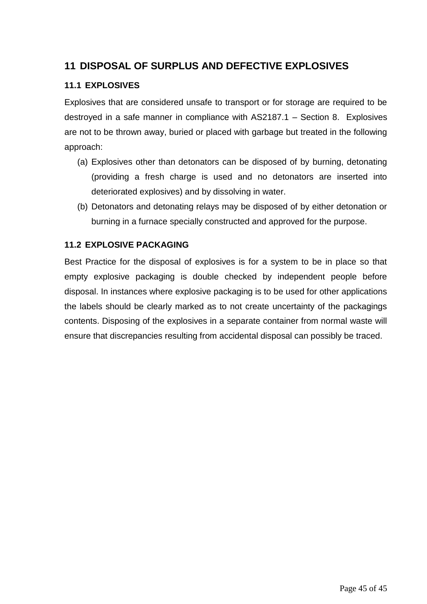# <span id="page-43-0"></span>**11 DISPOSAL OF SURPLUS AND DEFECTIVE EXPLOSIVES**

# <span id="page-43-1"></span>**11.1 EXPLOSIVES**

Explosives that are considered unsafe to transport or for storage are required to be destroyed in a safe manner in compliance with AS2187.1 – Section 8. Explosives are not to be thrown away, buried or placed with garbage but treated in the following approach:

- (a) Explosives other than detonators can be disposed of by burning, detonating (providing a fresh charge is used and no detonators are inserted into deteriorated explosives) and by dissolving in water.
- (b) Detonators and detonating relays may be disposed of by either detonation or burning in a furnace specially constructed and approved for the purpose.

# <span id="page-43-2"></span>**11.2 EXPLOSIVE PACKAGING**

Best Practice for the disposal of explosives is for a system to be in place so that empty explosive packaging is double checked by independent people before disposal. In instances where explosive packaging is to be used for other applications the labels should be clearly marked as to not create uncertainty of the packagings contents. Disposing of the explosives in a separate container from normal waste will ensure that discrepancies resulting from accidental disposal can possibly be traced.